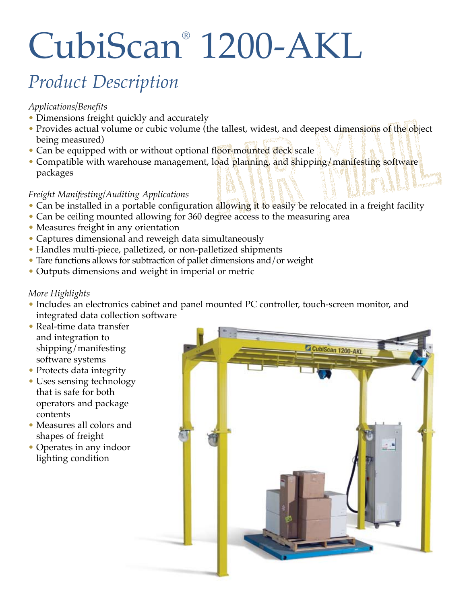# CubiScan® 1200-AKL

## *Product Description*

#### *Applications/Benefits*

- Dimensions freight quickly and accurately
- Provides actual volume or cubic volume (the tallest, widest, and deepest dimensions of the object being measured)
- Can be equipped with or without optional floor-mounted deck scale
- Compatible with warehouse management, load planning, and shipping/manifesting software packages

#### *Freight Manifesting/Auditing Applications*

- Can be installed in a portable configuration allowing it to easily be relocated in a freight facility
- Can be ceiling mounted allowing for 360 degree access to the measuring area
- Measures freight in any orientation
- Captures dimensional and reweigh data simultaneously
- Handles multi-piece, palletized, or non-palletized shipments
- Tare functions allows for subtraction of pallet dimensions and/or weight
- Outputs dimensions and weight in imperial or metric

#### *More Highlights*

- Includes an electronics cabinet and panel mounted PC controller, touch-screen monitor, and integrated data collection software
- Real-time data transfer and integration to shipping/manifesting software systems
- Protects data integrity
- Uses sensing technology that is safe for both operators and package contents
- Measures all colors and shapes of freight
- Operates in any indoor lighting condition